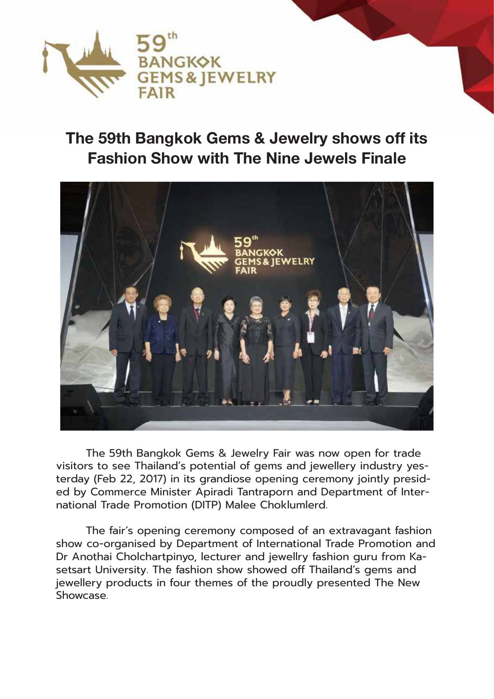

## **The 59th Bangkok Gems & Jewelry shows off its Fashion Show with The Nine Jewels Finale**



 The 59th Bangkok Gems & Jewelry Fair was now open for trade visitors to see Thailand's potential of gems and jewellery industry yesterday (Feb 22, 2017) in its grandiose opening ceremony jointly presided by Commerce Minister Apiradi Tantraporn and Department of International Trade Promotion (DITP) Malee Choklumlerd.

 The fair's opening ceremony composed of an extravagant fashion show co-organised by Department of International Trade Promotion and Dr Anothai Cholchartpinyo, lecturer and jewellry fashion guru from Kasetsart University. The fashion show showed off Thailand's gems and jewellery products in four themes of the proudly presented The New Showcase.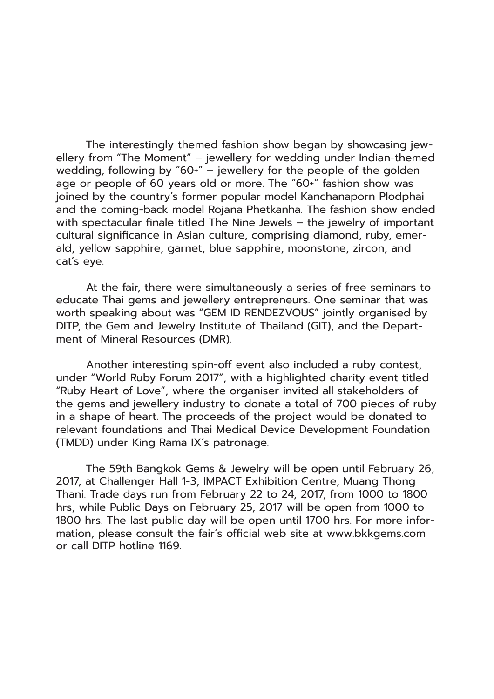The interestingly themed fashion show began by showcasing jewellery from "The Moment" – jewellery for wedding under Indian-themed wedding, following by " $60+$ " – jewellery for the people of the golden age or people of 60 years old or more. The "60+" fashion show was joined by the country's former popular model Kanchanaporn Plodphai and the coming-back model Rojana Phetkanha. The fashion show ended with spectacular finale titled The Nine Jewels – the jewelry of important cultural significance in Asian culture, comprising diamond, ruby, emerald, yellow sapphire, garnet, blue sapphire, moonstone, zircon, and cat's eye.

 At the fair, there were simultaneously a series of free seminars to educate Thai gems and jewellery entrepreneurs. One seminar that was worth speaking about was "GEM ID RENDEZVOUS" jointly organised by DITP, the Gem and Jewelry Institute of Thailand (GIT), and the Department of Mineral Resources (DMR).

 Another interesting spin-off event also included a ruby contest, under "World Ruby Forum 2017", with a highlighted charity event titled "Ruby Heart of Love", where the organiser invited all stakeholders of the gems and jewellery industry to donate a total of 700 pieces of ruby in a shape of heart. The proceeds of the project would be donated to relevant foundations and Thai Medical Device Development Foundation (TMDD) under King Rama IX's patronage.

 The 59th Bangkok Gems & Jewelry will be open until February 26, 2017, at Challenger Hall 1-3, IMPACT Exhibition Centre, Muang Thong Thani. Trade days run from February 22 to 24, 2017, from 1000 to 1800 hrs, while Public Days on February 25, 2017 will be open from 1000 to 1800 hrs. The last public day will be open until 1700 hrs. For more information, please consult the fair's official web site at www.bkkgems.com or call DITP hotline 1169.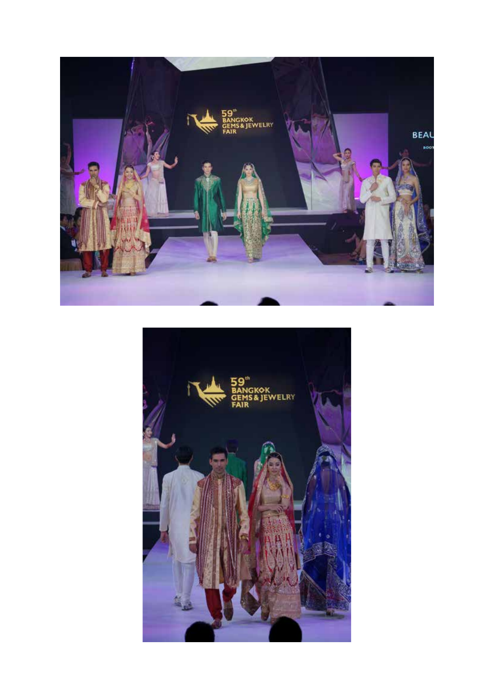

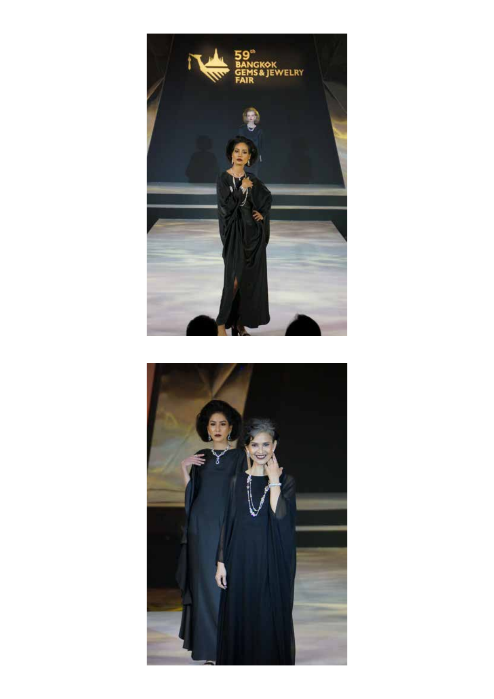

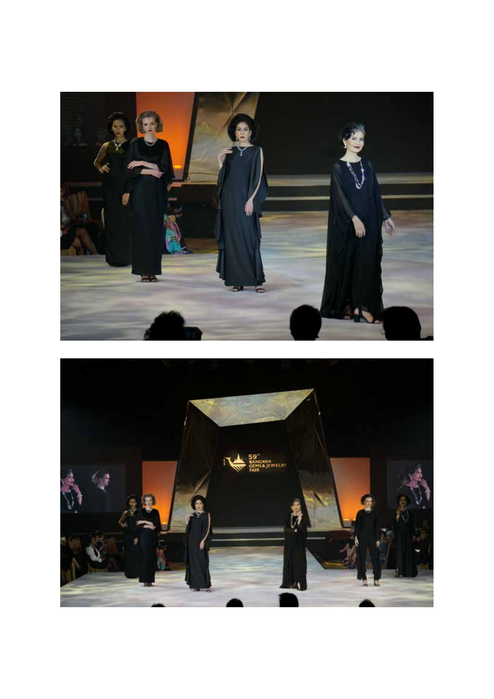

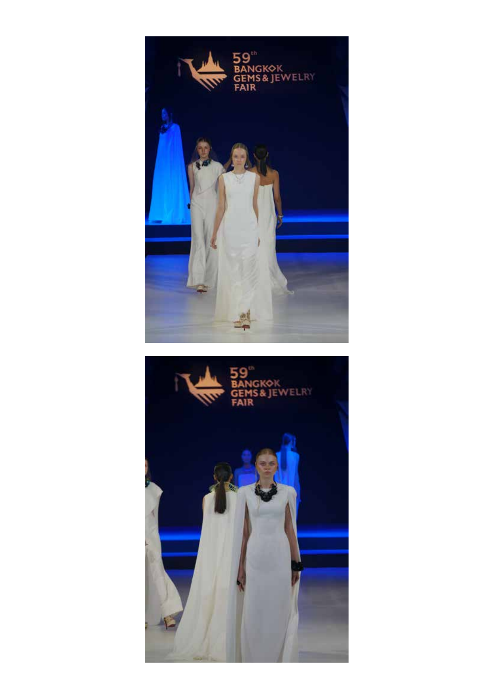

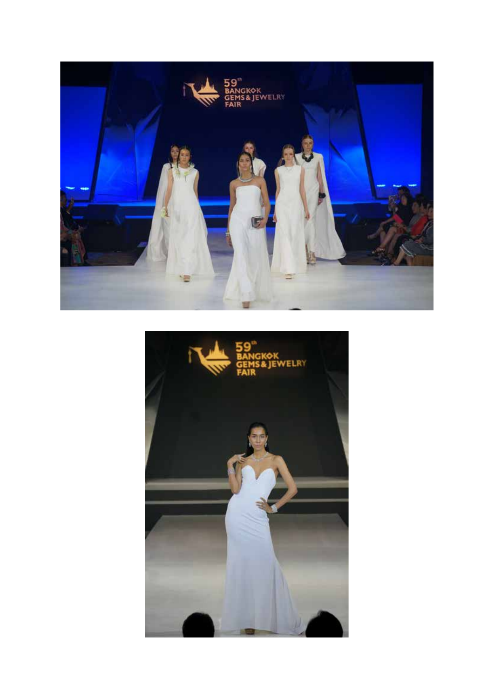